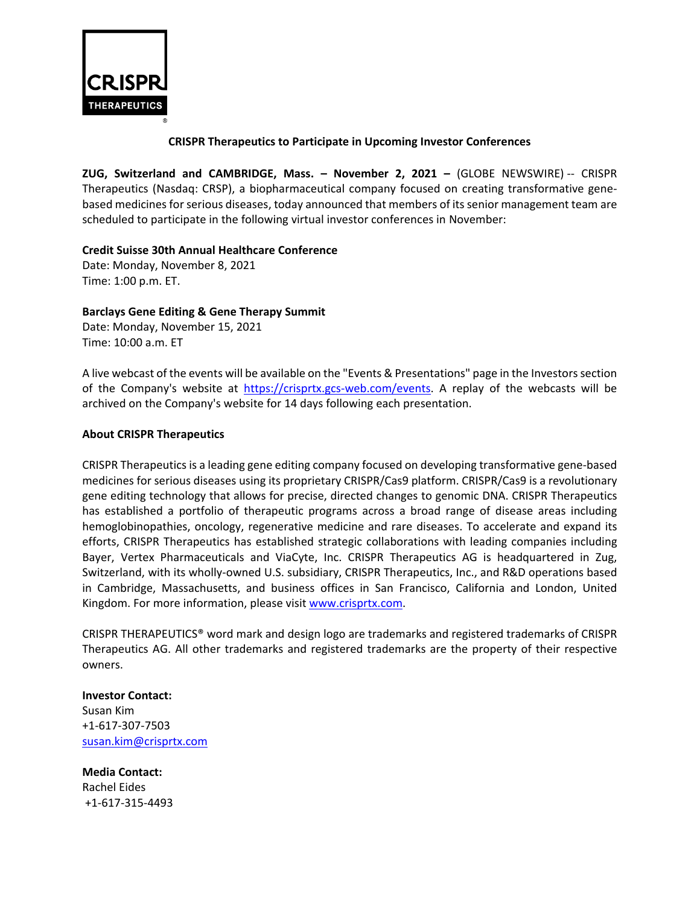

## **CRISPR Therapeutics to Participate in Upcoming Investor Conferences**

**ZUG, Switzerland and CAMBRIDGE, Mass. – November 2, 2021 –** (GLOBE NEWSWIRE) -- CRISPR Therapeutics (Nasdaq: CRSP), a biopharmaceutical company focused on creating transformative genebased medicines for serious diseases, today announced that members of its senior management team are scheduled to participate in the following virtual investor conferences in November:

## **Credit Suisse 30th Annual Healthcare Conference**

Date: Monday, November 8, 2021 Time: 1:00 p.m. ET.

# **Barclays Gene Editing & Gene Therapy Summit**

Date: Monday, November 15, 2021 Time: 10:00 a.m. ET

A live webcast of the events will be available on the "Events & Presentations" page in the Investors section of the Company's website at [https://crisprtx.gcs-web.com/events.](https://crisprtx.gcs-web.com/events) A replay of the webcasts will be archived on the Company's website for 14 days following each presentation.

## **About CRISPR Therapeutics**

CRISPR Therapeuticsis a leading gene editing company focused on developing transformative gene-based medicines for serious diseases using its proprietary CRISPR/Cas9 platform. CRISPR/Cas9 is a revolutionary gene editing technology that allows for precise, directed changes to genomic DNA. CRISPR Therapeutics has established a portfolio of therapeutic programs across a broad range of disease areas including hemoglobinopathies, oncology, regenerative medicine and rare diseases. To accelerate and expand its efforts, CRISPR Therapeutics has established strategic collaborations with leading companies including Bayer, Vertex Pharmaceuticals and ViaCyte, Inc. CRISPR Therapeutics AG is headquartered in Zug, Switzerland, with its wholly-owned U.S. subsidiary, CRISPR Therapeutics, Inc., and R&D operations based in Cambridge, Massachusetts, and business offices in San Francisco, California and London, United Kingdom. For more information, please visit [www.crisprtx.com.](http://www.crisprtx.com/)

CRISPR THERAPEUTICS® word mark and design logo are trademarks and registered trademarks of CRISPR Therapeutics AG. All other trademarks and registered trademarks are the property of their respective owners.

## **Investor Contact:**

Susan Kim +1-617-307-7503 [susan.kim@crisprtx.com](mailto:susan.kim@crisprtx.com)

**Media Contact:** Rachel Eides +1-617-315-4493